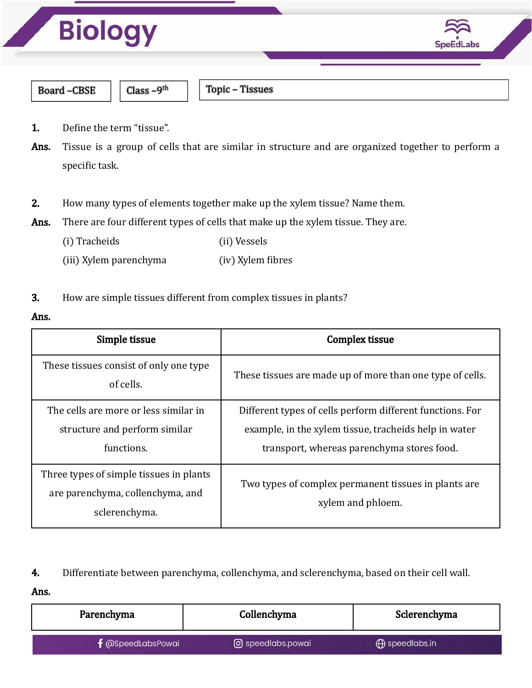

- 1. Define the term "tissue".
- Ans. Tissue is a group of cells that are similar in structure and are organized together to perform a specific task.
- 2. How many types of elements together make up the xylem tissue? Name them.

Ans. There are four different types of cells that make up the xylem tissue. They are.

- (i) Tracheids (ii) Vessels
- (iii) Xylem parenchyma (iv) Xylem fibres

## 3. How are simple tissues different from complex tissues in plants?

#### Ans.

| Simple tissue                                                                                | <b>Complex tissue</b>                                                                                                                                            |
|----------------------------------------------------------------------------------------------|------------------------------------------------------------------------------------------------------------------------------------------------------------------|
| These tissues consist of only one type<br>of cells.                                          | These tissues are made up of more than one type of cells.                                                                                                        |
| The cells are more or less similar in<br>structure and perform similar<br>functions.         | Different types of cells perform different functions. For<br>example, in the xylem tissue, tracheids help in water<br>transport, whereas parenchyma stores food. |
| Three types of simple tissues in plants<br>are parenchyma, collenchyma, and<br>sclerenchyma. | Two types of complex permanent tissues in plants are<br>xylem and phloem.                                                                                        |

## 4. Differentiate between parenchyma, collenchyma, and sclerenchyma, based on their cell wall.

Ans.

| Parenchyma                 | Collenchyma       | Sclerenchyma             |
|----------------------------|-------------------|--------------------------|
| $\digamma$ @SpeedLabsPowai | O speedlabs.powai | $\bigoplus$ speedlabs.in |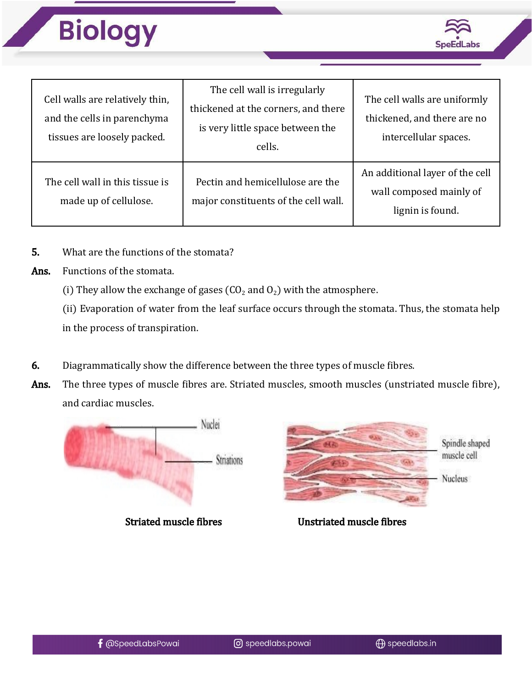



| Cell walls are relatively thin,<br>and the cells in parenchyma<br>tissues are loosely packed. | The cell wall is irregularly<br>thickened at the corners, and there<br>is very little space between the<br>cells. | The cell walls are uniformly<br>thickened, and there are no<br>intercellular spaces. |
|-----------------------------------------------------------------------------------------------|-------------------------------------------------------------------------------------------------------------------|--------------------------------------------------------------------------------------|
| The cell wall in this tissue is<br>made up of cellulose.                                      | Pectin and hemicellulose are the<br>major constituents of the cell wall.                                          | An additional layer of the cell<br>wall composed mainly of<br>lignin is found.       |

- 5. What are the functions of the stomata?
- Ans. Functions of the stomata.
	- (i) They allow the exchange of gases ( $CO<sub>2</sub>$  and  $O<sub>2</sub>$ ) with the atmosphere.

(ii) Evaporation of water from the leaf surface occurs through the stomata. Thus, the stomata help in the process of transpiration.

- 6. Diagrammatically show the difference between the three types of muscle fibres.
- Ans. The three types of muscle fibres are. Striated muscles, smooth muscles (unstriated muscle fibre), and cardiac muscles.





Spindle shaped muscle cell

Nucleus

Striated muscle fibres Unstriated muscle fibres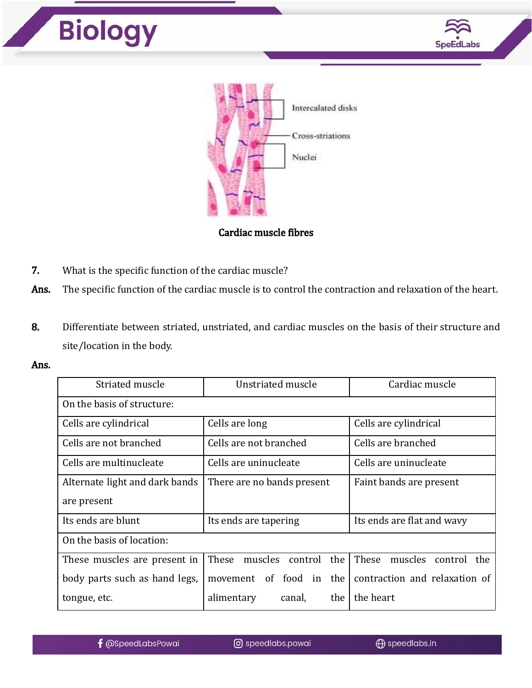



Cardiac muscle fibres

- 7. What is the specific function of the cardiac muscle?
- Ans. The specific function of the cardiac muscle is to control the contraction and relaxation of the heart.
- 8. Differentiate between striated, unstriated, and cardiac muscles on the basis of their structure and site/location in the body.
- Ans.

| Striated muscle                | Unstriated muscle                  | Cardiac muscle                     |  |  |
|--------------------------------|------------------------------------|------------------------------------|--|--|
| On the basis of structure:     |                                    |                                    |  |  |
| Cells are cylindrical          | Cells are long                     | Cells are cylindrical              |  |  |
| Cells are not branched         | Cells are not branched             | Cells are branched                 |  |  |
| Cells are multinucleate        | Cells are uninucleate              | Cells are uninucleate              |  |  |
| Alternate light and dark bands | There are no bands present         | Faint bands are present            |  |  |
| are present                    |                                    |                                    |  |  |
| Its ends are blunt             | Its ends are tapering              | Its ends are flat and wavy         |  |  |
| On the basis of location:      |                                    |                                    |  |  |
| These muscles are present in   | muscles<br>These<br>the<br>control | These<br>muscles<br>control<br>the |  |  |
| body parts such as hand legs,  | the<br>of food in<br>movement      | contraction and relaxation of      |  |  |
| tongue, etc.                   | alimentary<br>canal,<br>the        | the heart                          |  |  |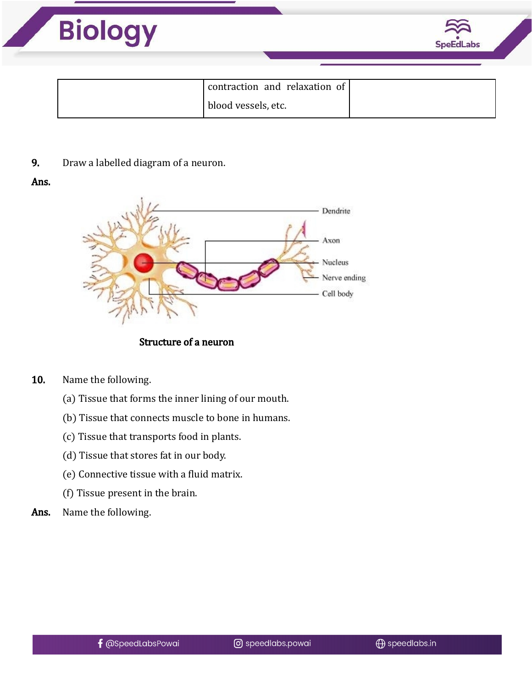

#### 9. Draw a labelled diagram of a neuron.

#### Ans.



Structure of a neuron

- 10. Name the following.
	- (a) Tissue that forms the inner lining of our mouth.
	- (b) Tissue that connects muscle to bone in humans.
	- (c) Tissue that transports food in plants.
	- (d) Tissue that stores fat in our body.
	- (e) Connective tissue with a fluid matrix.
	- (f) Tissue present in the brain.
- Ans. Name the following.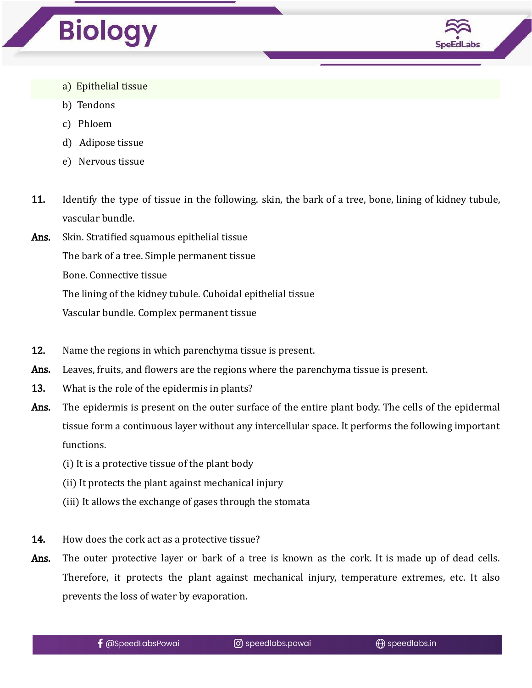



- a) Epithelial tissue
- b) Tendons
- c) Phloem
- d) Adipose tissue
- e) Nervous tissue
- 11. Identify the type of tissue in the following. skin, the bark of a tree, bone, lining of kidney tubule, vascular bundle.
- Ans. Skin. Stratified squamous epithelial tissue The bark of a tree. Simple permanent tissue Bone. Connective tissue The lining of the kidney tubule. Cuboidal epithelial tissue

Vascular bundle. Complex permanent tissue

- 12. Name the regions in which parenchyma tissue is present.
- Ans. Leaves, fruits, and flowers are the regions where the parenchyma tissue is present.
- 13. What is the role of the epidermis in plants?
- Ans. The epidermis is present on the outer surface of the entire plant body. The cells of the epidermal tissue form a continuous layer without any intercellular space. It performs the following important functions.
	- (i) It is a protective tissue of the plant body
	- (ii) It protects the plant against mechanical injury
	- (iii) It allows the exchange of gases through the stomata
- **14.** How does the cork act as a protective tissue?
- Ans. The outer protective layer or bark of a tree is known as the cork. It is made up of dead cells. Therefore, it protects the plant against mechanical injury, temperature extremes, etc. It also prevents the loss of water by evaporation.